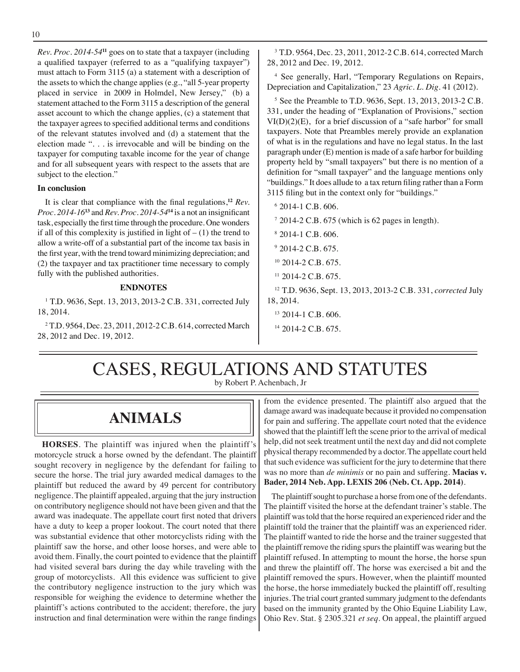*Rev. Proc. 2014-54***<sup>11</sup>** goes on to state that a taxpayer (including a qualified taxpayer (referred to as a "qualifying taxpayer") must attach to Form 3115 (a) a statement with a description of the assets to which the change applies (e.g., "all 5-year property placed in service in 2009 in Holmdel, New Jersey," (b) a statement attached to the Form 3115 a description of the general asset account to which the change applies, (c) a statement that the taxpayer agrees to specified additional terms and conditions of the relevant statutes involved and (d) a statement that the election made ". . . is irrevocable and will be binding on the taxpayer for computing taxable income for the year of change and for all subsequent years with respect to the assets that are subject to the election."

#### **In conclusion**

 It is clear that compliance with the final regulations,**<sup>12</sup>** *Rev. Proc. 2014-16***<sup>13</sup>** and *Rev. Proc. 2014-54***<sup>14</sup>** is a not an insignificant task, especially the first time through the procedure. One wonders if all of this complexity is justified in light of  $- (1)$  the trend to allow a write-off of a substantial part of the income tax basis in the first year, with the trend toward minimizing depreciation; and (2) the taxpayer and tax practitioner time necessary to comply fully with the published authorities.

#### **ENDNOTES**

1 T.D. 9636, Sept. 13, 2013, 2013-2 C.B. 331, corrected July 18, 2014.

2 T.D. 9564, Dec. 23, 2011, 2012-2 C.B. 614, corrected March 28, 2012 and Dec. 19, 2012.

3 T.D. 9564, Dec. 23, 2011, 2012-2 C.B. 614, corrected March 28, 2012 and Dec. 19, 2012.

<sup>4</sup> See generally, Harl, "Temporary Regulations on Repairs, Depreciation and Capitalization," 23 *Agric. L. Dig.* 41 (2012).

5 See the Preamble to T.D. 9636, Sept. 13, 2013, 2013-2 C.B. 331, under the heading of "Explanation of Provisions," section VI(D)(2)(E), for a brief discussion of a "safe harbor" for small taxpayers. Note that Preambles merely provide an explanation of what is in the regulations and have no legal status. In the last paragraph under (E) mention is made of a safe harbor for building property held by "small taxpayers" but there is no mention of a definition for "small taxpayer" and the language mentions only "buildings." It does allude to a tax return filing rather than a Form 3115 filing but in the context only for "buildings."

6 2014-1 C.B. 606.

 $72014-2$  C.B. 675 (which is 62 pages in length).

- $8$  2014-1 C.B. 606.
- 9 2014-2 C.B*.* 675.
- $10$  2014-2 C.B. 675.
- <sup>11</sup> 2014-2 C.B. 675.

12 T.D. 9636, Sept. 13, 2013, 2013-2 C.B. 331, *corrected* July 18, 2014.

- 13 2014-1 C.B. 606.
- $14$  2014-2 C.B. 675.

# CASES, REGULATIONS AND STATUTES

by Robert P. Achenbach, Jr

# **ANIMALS**

**HORSES**. The plaintiff was injured when the plaintiff's motorcycle struck a horse owned by the defendant. The plaintiff sought recovery in negligence by the defendant for failing to secure the horse. The trial jury awarded medical damages to the plaintiff but reduced the award by 49 percent for contributory negligence. The plaintiff appealed, arguing that the jury instruction on contributory negligence should not have been given and that the award was inadequate. The appellate court first noted that drivers have a duty to keep a proper lookout. The court noted that there was substantial evidence that other motorcyclists riding with the plaintiff saw the horse, and other loose horses, and were able to avoid them. Finally, the court pointed to evidence that the plaintiff had visited several bars during the day while traveling with the group of motorcyclists. All this evidence was sufficient to give the contributory negligence instruction to the jury which was responsible for weighing the evidence to determine whether the plaintiff's actions contributed to the accident; therefore, the jury instruction and final determination were within the range findings

from the evidence presented. The plaintiff also argued that the damage award was inadequate because it provided no compensation for pain and suffering. The appellate court noted that the evidence showed that the plaintiff left the scene prior to the arrival of medical help, did not seek treatment until the next day and did not complete physical therapy recommended by a doctor. The appellate court held that such evidence was sufficient for the jury to determine that there was no more than *de minimis* or no pain and suffering. **Macias v. Bader, 2014 Neb. App. LEXIS 206 (Neb. Ct. App. 2014)**.

The plaintiff sought to purchase a horse from one of the defendants. The plaintiff visited the horse at the defendant trainer's stable. The plaintiff was told that the horse required an experienced rider and the plaintiff told the trainer that the plaintiff was an experienced rider. The plaintiff wanted to ride the horse and the trainer suggested that the plaintiff remove the riding spurs the plaintiff was wearing but the plaintiff refused. In attempting to mount the horse, the horse spun and threw the plaintiff off. The horse was exercised a bit and the plaintiff removed the spurs. However, when the plaintiff mounted the horse, the horse immediately bucked the plaintiff off, resulting injuries. The trial court granted summary judgment to the defendants based on the immunity granted by the Ohio Equine Liability Law, Ohio Rev. Stat. § 2305.321 *et seq*. On appeal, the plaintiff argued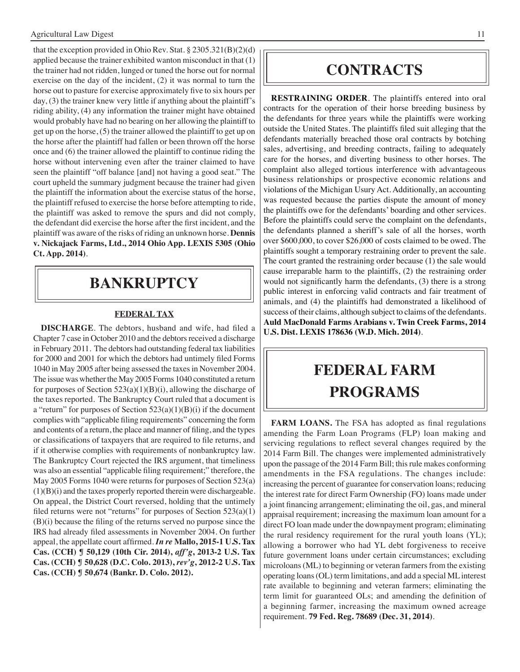that the exception provided in Ohio Rev. Stat. § 2305.321(B)(2)(d) applied because the trainer exhibited wanton misconduct in that (1) the trainer had not ridden, lunged or tuned the horse out for normal exercise on the day of the incident, (2) it was normal to turn the horse out to pasture for exercise approximately five to six hours per day, (3) the trainer knew very little if anything about the plaintiff's riding ability, (4) any information the trainer might have obtained would probably have had no bearing on her allowing the plaintiff to get up on the horse, (5) the trainer allowed the plaintiff to get up on the horse after the plaintiff had fallen or been thrown off the horse once and (6) the trainer allowed the plaintiff to continue riding the horse without intervening even after the trainer claimed to have seen the plaintiff "off balance [and] not having a good seat." The court upheld the summary judgment because the trainer had given the plaintiff the information about the exercise status of the horse, the plaintiff refused to exercise the horse before attempting to ride, the plaintiff was asked to remove the spurs and did not comply, the defendant did exercise the horse after the first incident, and the plaintiff was aware of the risks of riding an unknown horse. **Dennis v. Nickajack Farms, Ltd., 2014 Ohio App. LEXIS 5305 (Ohio Ct. App. 2014)**.

# **Bankruptcy**

### **FEDERAL TAX**

**DISCHARGE**. The debtors, husband and wife, had filed a Chapter 7 case in October 2010 and the debtors received a discharge in February 2011. The debtors had outstanding federal tax liabilities for 2000 and 2001 for which the debtors had untimely filed Forms 1040 in May 2005 after being assessed the taxes in November 2004. The issue was whether the May 2005 Forms 1040 constituted a return for purposes of Section  $523(a)(1)(B)(i)$ , allowing the discharge of the taxes reported. The Bankruptcy Court ruled that a document is a "return" for purposes of Section  $523(a)(1)(B)(i)$  if the document complies with "applicable filing requirements" concerning the form and contents of a return, the place and manner of filing, and the types or classifications of taxpayers that are required to file returns, and if it otherwise complies with requirements of nonbankruptcy law. The Bankruptcy Court rejected the IRS argument, that timeliness was also an essential "applicable filing requirement;" therefore, the May 2005 Forms 1040 were returns for purposes of Section 523(a)  $(1)(B)(i)$  and the taxes properly reported therein were dischargeable. On appeal, the District Court reversed, holding that the untimely filed returns were not "returns" for purposes of Section  $523(a)(1)$ (B)(i) because the filing of the returns served no purpose since the IRS had already filed assessments in November 2004. On further appeal, the appellate court affirmed. *In re* **Mallo, 2015-1 U.S. Tax Cas. (CCH) ¶ 50,129 (10th Cir. 2014),** *aff'g***, 2013-2 U.S. Tax Cas. (CCH) ¶ 50,628 (D.C. Colo. 2013),** *rev'g***, 2012-2 U.S. Tax Cas. (CCH) ¶ 50,674 (Bankr. D. Colo. 2012).**

### **CONTRACTS**

**RESTRAINING ORDER**. The plaintiffs entered into oral contracts for the operation of their horse breeding business by the defendants for three years while the plaintiffs were working outside the United States. The plaintiffs filed suit alleging that the defendants materially breached those oral contracts by botching sales, advertising, and breeding contracts, failing to adequately care for the horses, and diverting business to other horses. The complaint also alleged tortious interference with advantageous business relationships or prospective economic relations and violations of the Michigan Usury Act. Additionally, an accounting was requested because the parties dispute the amount of money the plaintiffs owe for the defendants' boarding and other services. Before the plaintiffs could serve the complaint on the defendants, the defendants planned a sheriff's sale of all the horses, worth over \$600,000, to cover \$26,000 of costs claimed to be owed. The plaintiffs sought a temporary restraining order to prevent the sale. The court granted the restraining order because (1) the sale would cause irreparable harm to the plaintiffs, (2) the restraining order would not significantly harm the defendants, (3) there is a strong public interest in enforcing valid contracts and fair treatment of animals, and (4) the plaintiffs had demonstrated a likelihood of success of their claims, although subject to claims of the defendants. **Auld MacDonald Farms Arabians v. Twin Creek Farms, 2014 U.S. Dist. LEXIS 178636 (W.D. Mich. 2014)**.

# **federal FARM PROGRAMS**

**FARM LOANS.** The FSA has adopted as final regulations amending the Farm Loan Programs (FLP) loan making and servicing regulations to reflect several changes required by the 2014 Farm Bill. The changes were implemented administratively upon the passage of the 2014 Farm Bill; this rule makes conforming amendments in the FSA regulations. The changes include: increasing the percent of guarantee for conservation loans; reducing the interest rate for direct Farm Ownership (FO) loans made under a joint financing arrangement; eliminating the oil, gas, and mineral appraisal requirement; increasing the maximum loan amount for a direct FO loan made under the downpayment program; eliminating the rural residency requirement for the rural youth loans (YL); allowing a borrower who had YL debt forgiveness to receive future government loans under certain circumstances; excluding microloans (ML) to beginning or veteran farmers from the existing operating loans (OL) term limitations, and add a special ML interest rate available to beginning and veteran farmers; eliminating the term limit for guaranteed OLs; and amending the definition of a beginning farmer, increasing the maximum owned acreage requirement. **79 Fed. Reg. 78689 (Dec. 31, 2014)**.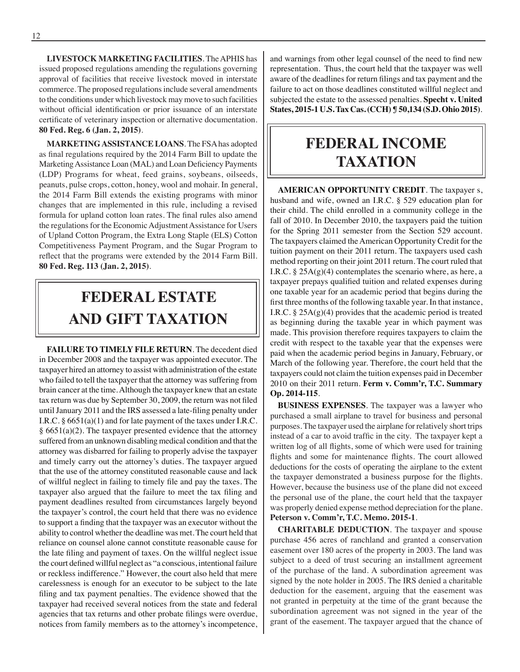**LIVESTOCK MARKETING FACILITIES**. TheAPHIS has issued proposed regulations amending the regulations governing approval of facilities that receive livestock moved in interstate commerce. The proposed regulations include several amendments to the conditions under which livestock may move to such facilities without official identification or prior issuance of an interstate certificate of veterinary inspection or alternative documentation. **80 Fed. Reg. 6 (Jan. 2, 2015)**.

**MARKETING ASSISTANCE LOANS**. The FSA has adopted as final regulations required by the 2014 Farm Bill to update the MarketingAssistance Loan (MAL) and Loan Deficiency Payments (LDP) Programs for wheat, feed grains, soybeans, oilseeds, peanuts, pulse crops, cotton, honey, wool and mohair. In general, the 2014 Farm Bill extends the existing programs with minor changes that are implemented in this rule, including a revised formula for upland cotton loan rates. The final rules also amend the regulations for the Economic Adjustment Assistance for Users of Upland Cotton Program, the Extra Long Staple (ELS) Cotton Competitiveness Payment Program, and the Sugar Program to reflect that the programs were extended by the 2014 Farm Bill. **80 Fed. Reg. 113 (Jan. 2, 2015)**.

# **FEDERAL ESTATE AND GIFT taxation**

**FAILURE TO TIMELY FILE RETURN**. The decedent died in December 2008 and the taxpayer was appointed executor. The taxpayer hired an attorney to assist with administration of the estate who failed to tell the taxpayer that the attorney was suffering from brain cancer at the time. Although the taxpayer knew that an estate tax return was due by September 30, 2009, the return was not filed until January 2011 and the IRS assessed a late-filing penalty under I.R.C. § 6651(a)(1) and for late payment of the taxes under I.R.C.  $§ 6651(a)(2)$ . The taxpayer presented evidence that the attorney suffered from an unknown disabling medical condition and that the attorney was disbarred for failing to properly advise the taxpayer and timely carry out the attorney's duties. The taxpayer argued that the use of the attorney constituted reasonable cause and lack of willful neglect in failing to timely file and pay the taxes. The taxpayer also argued that the failure to meet the tax filing and payment deadlines resulted from circumstances largely beyond the taxpayer's control, the court held that there was no evidence to support a finding that the taxpayer was an executor without the ability to control whether the deadline was met. The court held that reliance on counsel alone cannot constitute reasonable cause for the late filing and payment of taxes. On the willful neglect issue the court defined willful neglect as "a conscious, intentional failure or reckless indifference." However, the court also held that mere carelessness is enough for an executor to be subject to the late filing and tax payment penalties. The evidence showed that the taxpayer had received several notices from the state and federal agencies that tax returns and other probate filings were overdue, notices from family members as to the attorney's incompetence, and warnings from other legal counsel of the need to find new representation. Thus, the court held that the taxpayer was well aware of the deadlines for return filings and tax payment and the failure to act on those deadlines constituted willful neglect and subjected the estate to the assessed penalties. **Specht v. United States, 2015-1 U.S. Tax Cas. (CCH) ¶ 50,134 (S.D. Ohio 2015)**.

# **federal income taxation**

**AMERICAN OPPORTUNITY CREDIT**. The taxpayer s, husband and wife, owned an I.R.C. § 529 education plan for their child. The child enrolled in a community college in the fall of 2010. In December 2010, the taxpayers paid the tuition for the Spring 2011 semester from the Section 529 account. The taxpayers claimed the American Opportunity Credit for the tuition payment on their 2011 return. The taxpayers used cash method reporting on their joint 2011 return. The court ruled that I.R.C.  $\S 25A(g)(4)$  contemplates the scenario where, as here, a taxpayer prepays qualified tuition and related expenses during one taxable year for an academic period that begins during the first three months of the following taxable year. In that instance, I.R.C.  $\S 25A(g)(4)$  provides that the academic period is treated as beginning during the taxable year in which payment was made. This provision therefore requires taxpayers to claim the credit with respect to the taxable year that the expenses were paid when the academic period begins in January, February, or March of the following year. Therefore, the court held that the taxpayers could not claim the tuition expenses paid in December 2010 on their 2011 return. **Ferm v. Comm'r, T.C. Summary Op. 2014-115**.

**BUSINESS EXPENSES**. The taxpayer was a lawyer who purchased a small airplane to travel for business and personal purposes. The taxpayer used the airplane for relatively short trips instead of a car to avoid traffic in the city. The taxpayer kept a written log of all flights, some of which were used for training flights and some for maintenance flights. The court allowed deductions for the costs of operating the airplane to the extent the taxpayer demonstrated a business purpose for the flights. However, because the business use of the plane did not exceed the personal use of the plane, the court held that the taxpayer was properly denied expense method depreciation for the plane. **Peterson v. Comm'r, T.C. Memo. 2015-1**.

**CHARITABLE DEDUCTION**. The taxpayer and spouse purchase 456 acres of ranchland and granted a conservation easement over 180 acres of the property in 2003. The land was subject to a deed of trust securing an installment agreement of the purchase of the land. A subordination agreement was signed by the note holder in 2005. The IRS denied a charitable deduction for the easement, arguing that the easement was not granted in perpetuity at the time of the grant because the subordination agreement was not signed in the year of the grant of the easement. The taxpayer argued that the chance of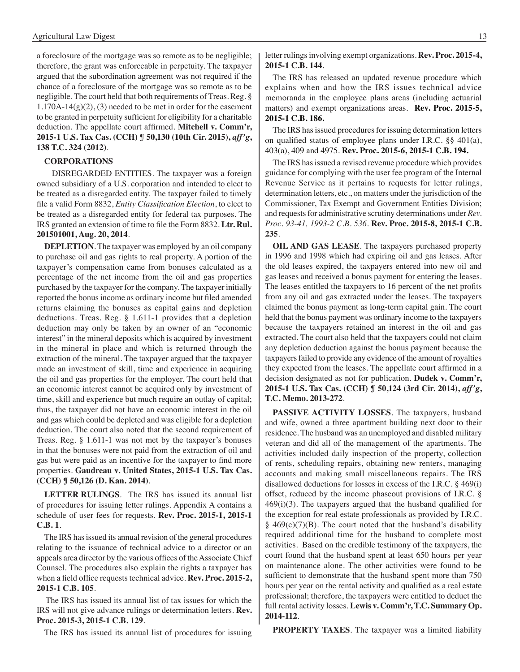a foreclosure of the mortgage was so remote as to be negligible; therefore, the grant was enforceable in perpetuity. The taxpayer argued that the subordination agreement was not required if the chance of a foreclosure of the mortgage was so remote as to be negligible. The court held that both requirements of Treas. Reg. §  $1.170A-14(g)(2)$ , (3) needed to be met in order for the easement to be granted in perpetuity sufficient for eligibility for a charitable deduction. The appellate court affirmed. **Mitchell v. Comm'r, 2015-1 U.S. Tax Cas. (CCH) ¶ 50,130 (10th Cir. 2015),** *aff'g***, 138 T.C. 324 (2012)**.

#### **CORPORATIONS**

 DISREGARDED ENTITIES. The taxpayer was a foreign owned subsidiary of a U.S. corporation and intended to elect to be treated as a disregarded entity. The taxpayer failed to timely file a valid Form 8832, *Entity Classification Election*, to elect to be treated as a disregarded entity for federal tax purposes. The IRS granted an extension of time to file the Form 8832. **Ltr. Rul. 201501001, Aug. 20, 2014**.

**DEPLETION**. The taxpayer was employed by an oil company to purchase oil and gas rights to real property. A portion of the taxpayer's compensation came from bonuses calculated as a percentage of the net income from the oil and gas properties purchased by the taxpayer for the company. The taxpayer initially reported the bonus income as ordinary income but filed amended returns claiming the bonuses as capital gains and depletion deductions. Treas. Reg. § 1.611-1 provides that a depletion deduction may only be taken by an owner of an "economic interest" in the mineral deposits which is acquired by investment in the mineral in place and which is returned through the extraction of the mineral. The taxpayer argued that the taxpayer made an investment of skill, time and experience in acquiring the oil and gas properties for the employer. The court held that an economic interest cannot be acquired only by investment of time, skill and experience but much require an outlay of capital; thus, the taxpayer did not have an economic interest in the oil and gas which could be depleted and was eligible for a depletion deduction. The court also noted that the second requirement of Treas. Reg. § 1.611-1 was not met by the taxpayer's bonuses in that the bonuses were not paid from the extraction of oil and gas but were paid as an incentive for the taxpayer to find more properties. **Gaudreau v. United States, 2015-1 U.S. Tax Cas. (CCH) ¶ 50,126 (D. Kan. 2014)**.

LETTER RULINGS. The IRS has issued its annual list of procedures for issuing letter rulings. Appendix A contains a schedule of user fees for requests. **Rev. Proc. 2015-1, 2015-1 C.B. 1**.

The IRS has issued its annual revision of the general procedures relating to the issuance of technical advice to a director or an appeals area director by the various offices of the Associate Chief Counsel. The procedures also explain the rights a taxpayer has when a field office requests technical advice. **Rev. Proc. 2015-2, 2015-1 C.B. 105**.

 The IRS has issued its annual list of tax issues for which the IRS will not give advance rulings or determination letters. **Rev. Proc. 2015-3, 2015-1 C.B. 129**.

 The IRS has issued its annual list of procedures for issuing

letter rulings involving exempt organizations. **Rev. Proc. 2015-4, 2015-1 C.B. 144**.

 The IRS has released an updated revenue procedure which explains when and how the IRS issues technical advice memoranda in the employee plans areas (including actuarial matters) and exempt organizations areas. **Rev. Proc. 2015-5, 2015-1 C.B. 186.**

The IRS has issued procedures for issuing determination letters on qualified status of employee plans under I.R.C. §§ 401(a), 403(a), 409 and 4975. **Rev. Proc. 2015-6, 2015-1 C.B. 194.**

The IRS has issued a revised revenue procedure which provides guidance for complying with the user fee program of the Internal Revenue Service as it pertains to requests for letter rulings, determination letters, etc., on matters under the jurisdiction of the Commissioner, Tax Exempt and Government Entities Division; and requests for administrative scrutiny determinations under *Rev. Proc. 93-41, 1993-2 C.B. 536*. **Rev. Proc. 2015-8, 2015-1 C.B. 235**.

**OIL AND GAS LEASE**. The taxpayers purchased property in 1996 and 1998 which had expiring oil and gas leases. After the old leases expired, the taxpayers entered into new oil and gas leases and received a bonus payment for entering the leases. The leases entitled the taxpayers to 16 percent of the net profits from any oil and gas extracted under the leases. The taxpayers claimed the bonus payment as long-term capital gain. The court held that the bonus payment was ordinary income to the taxpayers because the taxpayers retained an interest in the oil and gas extracted. The court also held that the taxpayers could not claim any depletion deduction against the bonus payment because the taxpayers failed to provide any evidence of the amount of royalties they expected from the leases. The appellate court affirmed in a decision designated as not for publication. **Dudek v. Comm'r, 2015-1 U.S. Tax Cas. (CCH) ¶ 50,124 (3rd Cir. 2014),** *aff'g***, T.C. Memo. 2013-272**.

**PASSIVE ACTIVITY LOSSES**. The taxpayers, husband and wife, owned a three apartment building next door to their residence. The husband was an unemployed and disabled military veteran and did all of the management of the apartments. The activities included daily inspection of the property, collection of rents, scheduling repairs, obtaining new renters, managing accounts and making small miscellaneous repairs. The IRS disallowed deductions for losses in excess of the I.R.C. § 469(i) offset, reduced by the income phaseout provisions of I.R.C. §  $469(i)(3)$ . The taxpayers argued that the husband qualified for the exception for real estate professionals as provided by I.R.C.  $§$  469(c)(7)(B). The court noted that the husband's disability required additional time for the husband to complete most activities. Based on the credible testimony of the taxpayers, the court found that the husband spent at least 650 hours per year on maintenance alone. The other activities were found to be sufficient to demonstrate that the husband spent more than 750 hours per year on the rental activity and qualified as a real estate professional; therefore, the taxpayers were entitled to deduct the full rental activity losses. **Lewis v. Comm'r, T.C. Summary Op. 2014-112**.

**PROPERTY TAXES**. The taxpayer was a limited liability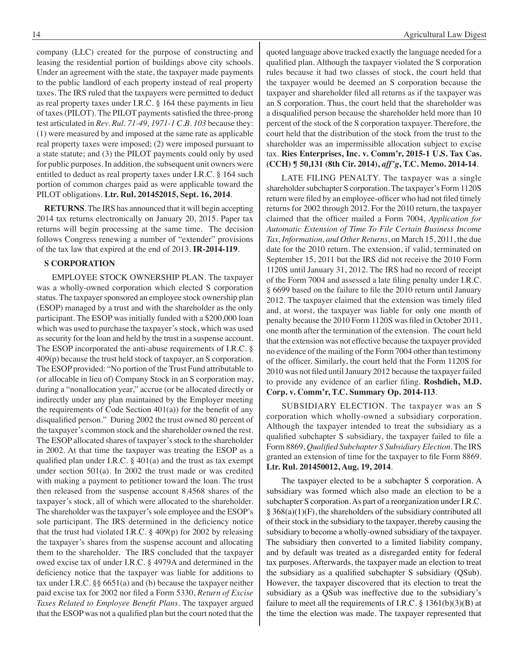company (LLC) created for the purpose of constructing and leasing the residential portion of buildings above city schools. Under an agreement with the state, the taxpayer made payments to the public landlord of each property instead of real property taxes. The IRS ruled that the taxpayers were permitted to deduct as real property taxes under I.R.C. § 164 these payments in lieu of taxes (PILOT). The PILOT payments satisfied the three-prong test articulated in *Rev. Rul. 71-49, 1971-1 C.B. 103* because they: (1) were measured by and imposed at the same rate as applicable real property taxes were imposed; (2) were imposed pursuant to a state statute; and (3) the PILOT payments could only by used for public purposes. In addition, the subsequent unit owners were entitled to deduct as real property taxes under I.R.C. § 164 such portion of common charges paid as were applicable toward the PILOT obligations. **Ltr. Rul. 201452015, Sept. 16, 2014**.

**RETURNS**. The IRS has announced that it will begin accepting 2014 tax returns electronically on January 20, 2015. Paper tax returns will begin processing at the same time. The decision follows Congress renewing a number of "extender" provisions of the tax law that expired at the end of 2013. **IR-2014-119**.

#### **S CORPORATION**

 EMPLOYEE STOCK OWNERSHIP PLAN. The taxpayer was a wholly-owned corporation which elected S corporation status. The taxpayer sponsored an employee stock ownership plan (ESOP) managed by a trust and with the shareholder as the only participant. The ESOP was initially funded with a \$200,000 loan which was used to purchase the taxpayer's stock, which was used as security for the loan and held by the trust in a suspense account. The ESOP incorporated the anti-abuse requirements of I.R.C. § 409(p) because the trust held stock of taxpayer, an S corporation. The ESOP provided: "No portion of the Trust Fund attributable to (or allocable in lieu of) Company Stock in an S corporation may, during a "nonallocation year," accrue (or be allocated directly or indirectly under any plan maintained by the Employer meeting the requirements of Code Section  $401(a)$ ) for the benefit of any disqualified person." During 2002 the trust owned 80 percent of the taxpayer's common stock and the shareholder owned the rest. The ESOP allocated shares of taxpayer's stock to the shareholder in 2002. At that time the taxpayer was treating the ESOP as a qualified plan under I.R.C. § 401(a) and the trust as tax exempt under section 501(a). In 2002 the trust made or was credited with making a payment to petitioner toward the loan. The trust then released from the suspense account 8.4568 shares of the taxpayer's stock, all of which were allocated to the shareholder. The shareholder was the taxpayer's sole employee and the ESOP's sole participant. The IRS determined in the deficiency notice that the trust had violated I.R.C. § 409(p) for 2002 by releasing the taxpayer's shares from the suspense account and allocating them to the shareholder. The IRS concluded that the taxpayer owed excise tax of under I.R.C. § 4979A and determined in the deficiency notice that the taxpayer was liable for additions to tax under I.R.C. §§ 6651(a) and (b) because the taxpayer neither paid excise tax for 2002 nor filed a Form 5330, *Return of Excise Taxes Related to Employee Benefit Plans*. The taxpayer argued that the ESOP was not a qualified plan but the court noted that the

quoted language above tracked exactly the language needed for a qualified plan. Although the taxpayer violated the S corporation rules because it had two classes of stock, the court held that the taxpayer would be deemed an S corporation because the taxpayer and shareholder filed all returns as if the taxpayer was an S corporation. Thus, the court held that the shareholder was a disqualified person because the shareholder held more than 10 percent of the stock of the S corporation taxpayer. Therefore, the court held that the distribution of the stock from the trust to the shareholder was an impermissible allocation subject to excise tax. **Ries Enterprises, Inc. v. Comm'r, 2015-1 U.S. Tax Cas. (CCH) ¶ 50,131 (8th Cir. 2014),** *aff'g***, T.C. Memo. 2014-14**.

 LATE FILING PENALTY. The taxpayer was a single shareholder subchapter S corporation. The taxpayer's Form 1120S return were filed by an employee-officer who had not filed timely returns for 2002 through 2012. For the 2010 return, the taxpayer claimed that the officer mailed a Form 7004, *Application for Automatic Extension of Time To File Certain Business Income Tax, Information, and Other Returns*, on March 15, 2011, the due date for the 2010 return. The extension, if valid, terminated on September 15, 2011 but the IRS did not receive the 2010 Form 1120S until January 31, 2012. The IRS had no record of receipt of the Form 7004 and assessed a late filing penalty under I.R.C. § 6699 based on the failure to file the 2010 return until January 2012. The taxpayer claimed that the extension was timely filed and, at worst, the taxpayer was liable for only one month of penalty because the 2010 Form 1120S was filed in October 2011, one month after the termination of the extension. The court held that the extension was not effective because the taxpayer provided no evidence of the mailing of the Form 7004 other than testimony of the officer. Similarly, the court held that the Form 1120S for 2010 was not filed until January 2012 because the taxpayer failed to provide any evidence of an earlier filing. **Roshdieh, M.D. Corp. v. Comm'r, T.C. Summary Op. 2014-113**.

 SUBSIDIARY ELECTION. The taxpayer was an S corporation which wholly-owned a subsidiary corporation. Although the taxpayer intended to treat the subsidiary as a qualified subchapter S subsidiary, the taxpayer failed to file a Form 8869, *Qualified Subchapter S Subsidiary Election*.The IRS granted an extension of time for the taxpayer to file Form 8869. **Ltr. Rul. 201450012, Aug. 19, 2014**.

 The taxpayer elected to be a subchapter S corporation. A subsidiary was formed which also made an election to be a subchapter S corporation.As part of a reorganization under I.R.C.  $\S 368(a)(1)(F)$ , the shareholders of the subsidiary contributed all of their stock in the subsidiary to the taxpayer, thereby causing the subsidiary to become a wholly-owned subsidiary of the taxpayer. The subsidiary then converted to a limited liability company, and by default was treated as a disregarded entity for federal tax purposes. Afterwards, the taxpayer made an election to treat the subsidiary as a qualified subchapter S subsidiary (QSub). However, the taxpayer discovered that its election to treat the subsidiary as a QSub was ineffective due to the subsidiary's failure to meet all the requirements of I.R.C.  $\S 1361(b)(3)(B)$  at the time the election was made. The taxpayer represented that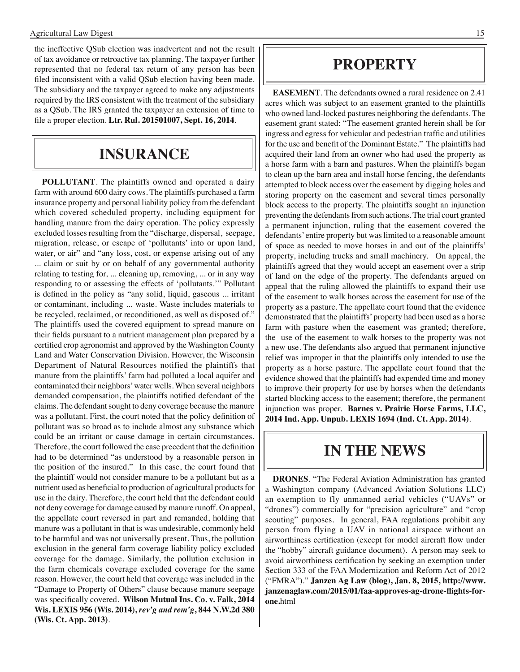the ineffective QSub election was inadvertent and not the result of tax avoidance or retroactive tax planning. The taxpayer further represented that no federal tax return of any person has been filed inconsistent with a valid QSub election having been made. The subsidiary and the taxpayer agreed to make any adjustments required by the IRS consistent with the treatment of the subsidiary as a QSub. The IRS granted the taxpayer an extension of time to file a proper election. **Ltr. Rul. 201501007, Sept. 16, 2014**.

## **insurance**

**POLLUTANT**. The plaintiffs owned and operated a dairy farm with around 600 dairy cows. The plaintiffs purchased a farm insurance property and personal liability policy from the defendant which covered scheduled property, including equipment for handling manure from the dairy operation. The policy expressly excluded losses resulting from the "discharge, dispersal, seepage, migration, release, or escape of 'pollutants' into or upon land, water, or air" and "any loss, cost, or expense arising out of any ... claim or suit by or on behalf of any governmental authority relating to testing for, ... cleaning up, removing, ... or in any way responding to or assessing the effects of 'pollutants.'" Pollutant is defined in the policy as "any solid, liquid, gaseous ... irritant or contaminant, including ... waste. Waste includes materials to be recycled, reclaimed, or reconditioned, as well as disposed of." The plaintiffs used the covered equipment to spread manure on their fields pursuant to a nutrient management plan prepared by a certified crop agronomist and approved by the Washington County Land and Water Conservation Division. However, the Wisconsin Department of Natural Resources notified the plaintiffs that manure from the plaintiffs' farm had polluted a local aquifer and contaminated their neighbors'water wells.When several neighbors demanded compensation, the plaintiffs notified defendant of the claims. The defendant sought to deny coverage because the manure was a pollutant. First, the court noted that the policy definition of pollutant was so broad as to include almost any substance which could be an irritant or cause damage in certain circumstances. Therefore, the court followed the case precedent that the definition had to be determined "as understood by a reasonable person in the position of the insured." In this case, the court found that the plaintiff would not consider manure to be a pollutant but as a nutrient used as beneficial to production of agricultural products for use in the dairy. Therefore, the court held that the defendant could not deny coverage for damage caused by manure runoff. On appeal, the appellate court reversed in part and remanded, holding that manure was a pollutant in that is was undesirable, commonly held to be harmful and was not universally present. Thus, the pollution exclusion in the general farm coverage liability policy excluded coverage for the damage. Similarly, the pollution exclusion in the farm chemicals coverage excluded coverage for the same reason. However, the court held that coverage was included in the "Damage to Property of Others" clause because manure seepage was specifically covered. **Wilson Mutual Ins. Co. v. Falk, 2014 Wis. LEXIS 956 (Wis. 2014),** *rev'g and rem'g***, 844 N.W.2d 380 (Wis. Ct. App. 2013)**.

### **PROPERTY**

**EASEMENT**. The defendants owned a rural residence on 2.41 acres which was subject to an easement granted to the plaintiffs who owned land-locked pastures neighboring the defendants. The easement grant stated: "The easement granted herein shall be for ingress and egress for vehicular and pedestrian traffic and utilities for the use and benefit of the Dominant Estate." The plaintiffs had acquired their land from an owner who had used the property as a horse farm with a barn and pastures. When the plaintiffs began to clean up the barn area and install horse fencing, the defendants attempted to block access over the easement by digging holes and storing property on the easement and several times personally block access to the property. The plaintiffs sought an injunction preventing the defendants from such actions. The trial court granted a permanent injunction, ruling that the easement covered the defendants' entire property but was limited to a reasonable amount of space as needed to move horses in and out of the plaintiffs' property, including trucks and small machinery. On appeal, the plaintiffs agreed that they would accept an easement over a strip of land on the edge of the property. The defendants argued on appeal that the ruling allowed the plaintiffs to expand their use of the easement to walk horses across the easement for use of the property as a pasture. The appellate court found that the evidence demonstrated that the plaintiffs' property had been used as a horse farm with pasture when the easement was granted; therefore, the use of the easement to walk horses to the property was not a new use. The defendants also argued that permanent injunctive relief was improper in that the plaintiffs only intended to use the property as a horse pasture. The appellate court found that the evidence showed that the plaintiffs had expended time and money to improve their property for use by horses when the defendants started blocking access to the easement; therefore, the permanent injunction was proper. **Barnes v. Prairie Horse Farms, LLC, 2014 Ind. App. Unpub. LEXIS 1694 (Ind. Ct. App. 2014)**.

## **In the news**

**DRONES**. "The Federal Aviation Administration has granted a Washington company (Advanced Aviation Solutions LLC) an exemption to fly unmanned aerial vehicles ("UAVs" or "drones") commercially for "precision agriculture" and "crop scouting" purposes. In general, FAA regulations prohibit any person from flying a UAV in national airspace without an airworthiness certification (except for model aircraft flow under the "hobby" aircraft guidance document). A person may seek to avoid airworthiness certification by seeking an exemption under Section 333 of the FAA Modernization and Reform Act of 2012 ("FMRA")." **Janzen Ag Law (blog), Jan. 8, 2015, http://www. janzenaglaw.com/2015/01/faa-approves-ag-drone-flights-forone.**html